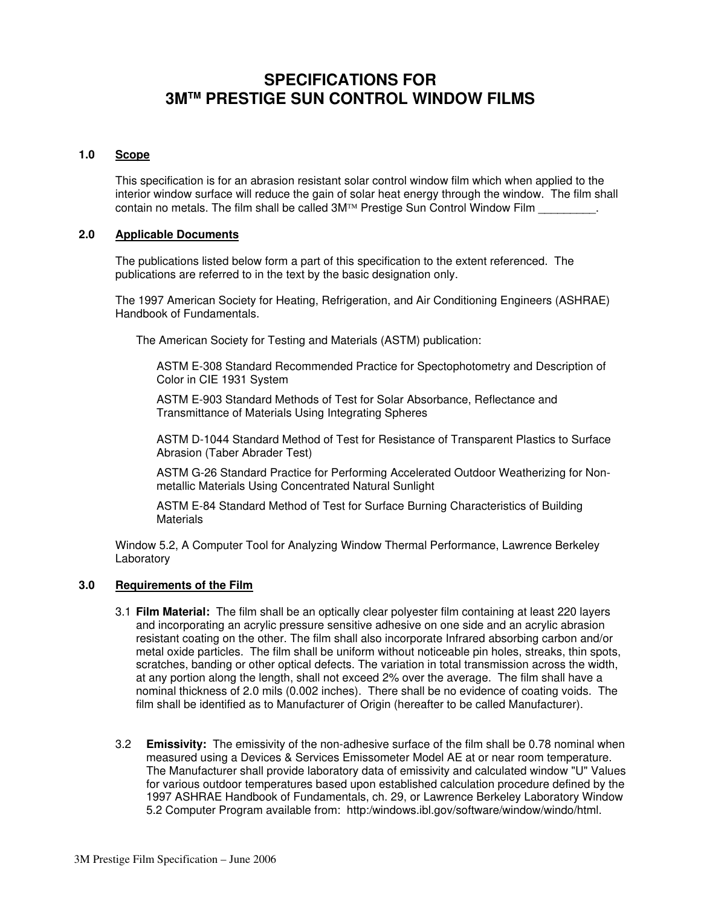# **SPECIFICATIONS FOR 3MTM PRESTIGE SUN CONTROL WINDOW FILMS**

# **1.0 Scope**

 This specification is for an abrasion resistant solar control window film which when applied to the interior window surface will reduce the gain of solar heat energy through the window. The film shall contain no metals. The film shall be called 3M™ Prestige Sun Control Window Film \_\_\_\_\_\_\_\_\_.

## **2.0 Applicable Documents**

 The publications listed below form a part of this specification to the extent referenced. The publications are referred to in the text by the basic designation only.

 The 1997 American Society for Heating, Refrigeration, and Air Conditioning Engineers (ASHRAE) Handbook of Fundamentals.

The American Society for Testing and Materials (ASTM) publication:

 ASTM E-308 Standard Recommended Practice for Spectophotometry and Description of Color in CIE 1931 System

 ASTM E-903 Standard Methods of Test for Solar Absorbance, Reflectance and Transmittance of Materials Using Integrating Spheres

 ASTM D-1044 Standard Method of Test for Resistance of Transparent Plastics to Surface Abrasion (Taber Abrader Test)

 ASTM G-26 Standard Practice for Performing Accelerated Outdoor Weatherizing for Nonmetallic Materials Using Concentrated Natural Sunlight

 ASTM E-84 Standard Method of Test for Surface Burning Characteristics of Building **Materials** 

 Window 5.2, A Computer Tool for Analyzing Window Thermal Performance, Lawrence Berkeley Laboratory

# **3.0 Requirements of the Film**

- 3.1 **Film Material:** The film shall be an optically clear polyester film containing at least 220 layers and incorporating an acrylic pressure sensitive adhesive on one side and an acrylic abrasion resistant coating on the other. The film shall also incorporate Infrared absorbing carbon and/or metal oxide particles. The film shall be uniform without noticeable pin holes, streaks, thin spots, scratches, banding or other optical defects. The variation in total transmission across the width, at any portion along the length, shall not exceed 2% over the average. The film shall have a nominal thickness of 2.0 mils (0.002 inches). There shall be no evidence of coating voids. The film shall be identified as to Manufacturer of Origin (hereafter to be called Manufacturer).
- 3.2 **Emissivity:** The emissivity of the non-adhesive surface of the film shall be 0.78 nominal when measured using a Devices & Services Emissometer Model AE at or near room temperature. The Manufacturer shall provide laboratory data of emissivity and calculated window "U" Values for various outdoor temperatures based upon established calculation procedure defined by the 1997 ASHRAE Handbook of Fundamentals, ch. 29, or Lawrence Berkeley Laboratory Window 5.2 Computer Program available from: http:/windows.ibl.gov/software/window/windo/html.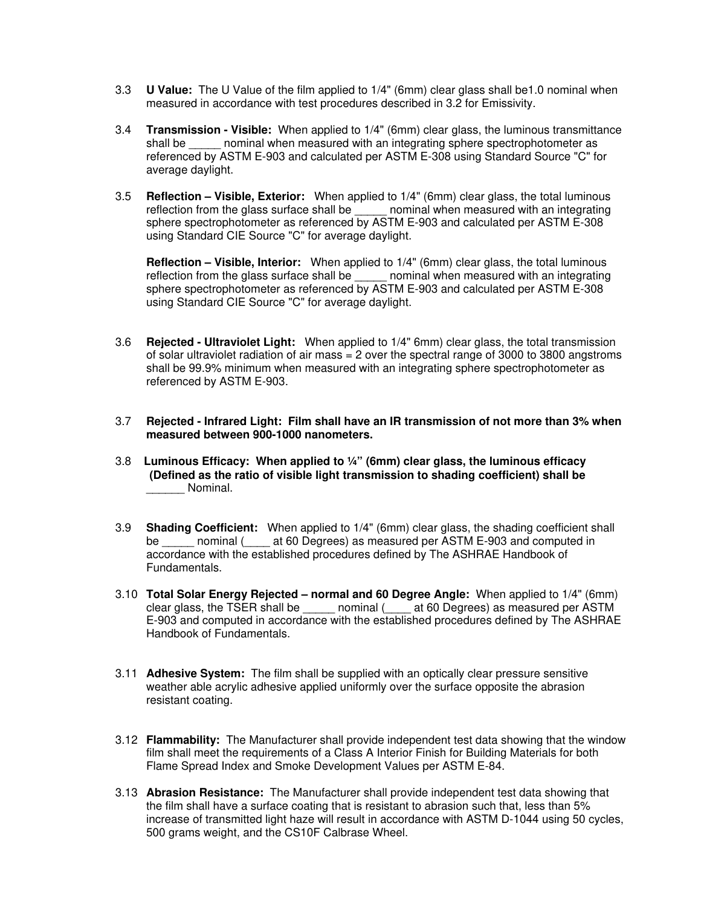- 3.3 **U Value:** The U Value of the film applied to 1/4" (6mm) clear glass shall be1.0 nominal when measured in accordance with test procedures described in 3.2 for Emissivity.
- 3.4 **Transmission Visible:** When applied to 1/4" (6mm) clear glass, the luminous transmittance shall be mominal when measured with an integrating sphere spectrophotometer as referenced by ASTM E-903 and calculated per ASTM E-308 using Standard Source "C" for average daylight.
- 3.5 **Reflection Visible, Exterior:** When applied to 1/4" (6mm) clear glass, the total luminous reflection from the glass surface shall be sphere spectrophotometer as referenced by ASTM E-903 and calculated per ASTM E-308 using Standard CIE Source "C" for average daylight.

 **Reflection – Visible, Interior:** When applied to 1/4" (6mm) clear glass, the total luminous reflection from the glass surface shall be \_\_\_\_\_\_ nominal when measured with an integrating sphere spectrophotometer as referenced by ASTM E-903 and calculated per ASTM E-308 using Standard CIE Source "C" for average daylight.

- 3.6 **Rejected Ultraviolet Light:** When applied to 1/4" 6mm) clear glass, the total transmission of solar ultraviolet radiation of air mass  $= 2$  over the spectral range of 3000 to 3800 angstroms shall be 99.9% minimum when measured with an integrating sphere spectrophotometer as referenced by ASTM E-903.
- 3.7 **Rejected Infrared Light: Film shall have an IR transmission of not more than 3% when measured between 900-1000 nanometers.**
- 3.8 **Luminous Efficacy: When applied to ¼" (6mm) clear glass, the luminous efficacy (Defined as the ratio of visible light transmission to shading coefficient) shall be**  \_\_\_\_\_\_ Nominal.
- 3.9 **Shading Coefficient:** When applied to 1/4" (6mm) clear glass, the shading coefficient shall be mominal (at 60 Degrees) as measured per ASTM E-903 and computed in accordance with the established procedures defined by The ASHRAE Handbook of Fundamentals.
- 3.10 **Total Solar Energy Rejected normal and 60 Degree Angle:** When applied to 1/4" (6mm) clear glass, the TSER shall be \_\_\_\_\_ nominal (\_\_\_\_ at 60 Degrees) as measured per ASTM E-903 and computed in accordance with the established procedures defined by The ASHRAE Handbook of Fundamentals.
- 3.11 **Adhesive System:** The film shall be supplied with an optically clear pressure sensitive weather able acrylic adhesive applied uniformly over the surface opposite the abrasion resistant coating.
- 3.12 **Flammability:** The Manufacturer shall provide independent test data showing that the window film shall meet the requirements of a Class A Interior Finish for Building Materials for both Flame Spread Index and Smoke Development Values per ASTM E-84.
- 3.13 **Abrasion Resistance:** The Manufacturer shall provide independent test data showing that the film shall have a surface coating that is resistant to abrasion such that, less than 5% increase of transmitted light haze will result in accordance with ASTM D-1044 using 50 cycles, 500 grams weight, and the CS10F Calbrase Wheel.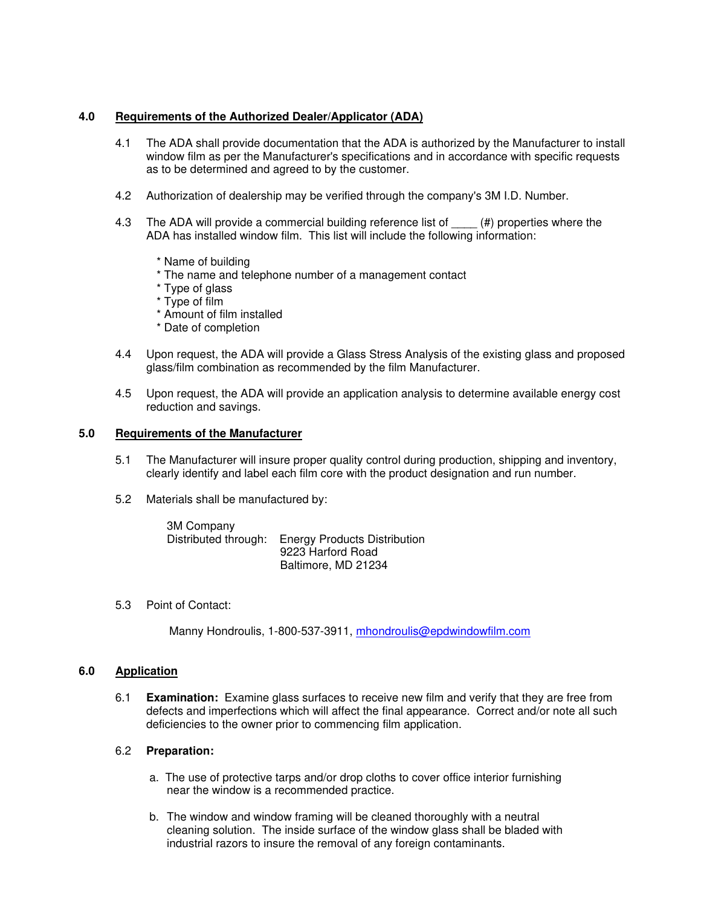## **4.0 Requirements of the Authorized Dealer/Applicator (ADA)**

- 4.1 The ADA shall provide documentation that the ADA is authorized by the Manufacturer to install window film as per the Manufacturer's specifications and in accordance with specific requests as to be determined and agreed to by the customer.
- 4.2 Authorization of dealership may be verified through the company's 3M I.D. Number.
- 4.3 The ADA will provide a commercial building reference list of  $(4)$  properties where the ADA has installed window film. This list will include the following information:
	- \* Name of building
	- \* The name and telephone number of a management contact
	- \* Type of glass
	- \* Type of film
	- \* Amount of film installed
	- \* Date of completion
- 4.4 Upon request, the ADA will provide a Glass Stress Analysis of the existing glass and proposed glass/film combination as recommended by the film Manufacturer.
- 4.5 Upon request, the ADA will provide an application analysis to determine available energy cost reduction and savings.

# **5.0 Requirements of the Manufacturer**

- 5.1 The Manufacturer will insure proper quality control during production, shipping and inventory, clearly identify and label each film core with the product designation and run number.
- 5.2 Materials shall be manufactured by:

 3M Company Distributed through: Energy Products Distribution 9223 Harford Road Baltimore, MD 21234

5.3 Point of Contact:

Manny Hondroulis, 1-800-537-3911, mhondroulis@epdwindowfilm.com

#### **6.0 Application**

 6.1 **Examination:** Examine glass surfaces to receive new film and verify that they are free from defects and imperfections which will affect the final appearance. Correct and/or note all such deficiencies to the owner prior to commencing film application.

#### 6.2 **Preparation:**

- a. The use of protective tarps and/or drop cloths to cover office interior furnishing near the window is a recommended practice.
- b. The window and window framing will be cleaned thoroughly with a neutral cleaning solution. The inside surface of the window glass shall be bladed with industrial razors to insure the removal of any foreign contaminants.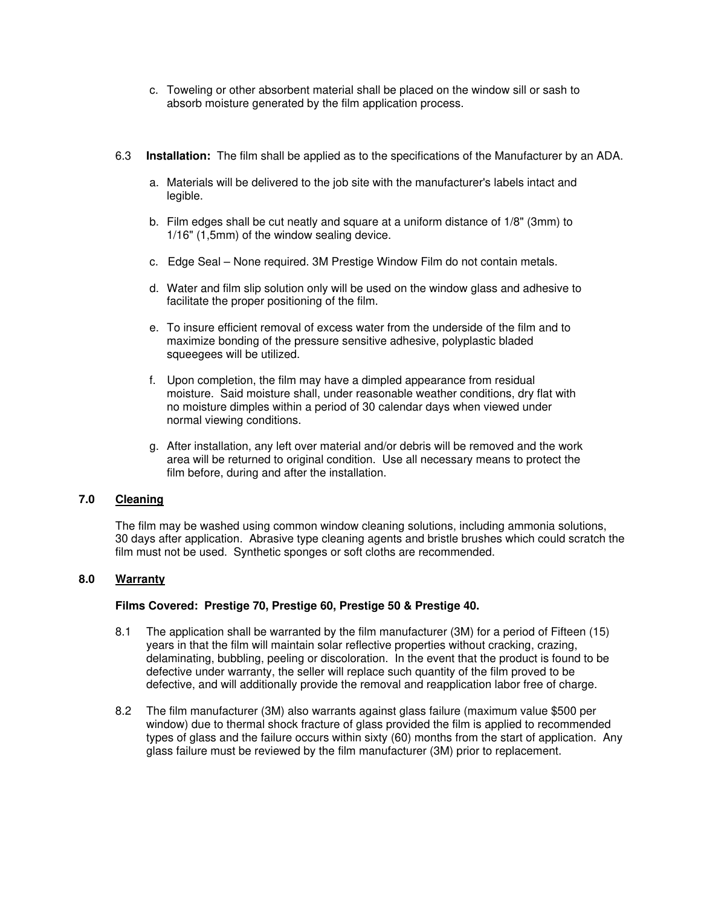- c. Toweling or other absorbent material shall be placed on the window sill or sash to absorb moisture generated by the film application process.
- 6.3 **Installation:** The film shall be applied as to the specifications of the Manufacturer by an ADA.
	- a. Materials will be delivered to the job site with the manufacturer's labels intact and legible.
	- b. Film edges shall be cut neatly and square at a uniform distance of 1/8" (3mm) to 1/16" (1,5mm) of the window sealing device.
	- c. Edge Seal None required. 3M Prestige Window Film do not contain metals.
	- d. Water and film slip solution only will be used on the window glass and adhesive to facilitate the proper positioning of the film.
	- e. To insure efficient removal of excess water from the underside of the film and to maximize bonding of the pressure sensitive adhesive, polyplastic bladed squeegees will be utilized.
	- f. Upon completion, the film may have a dimpled appearance from residual moisture. Said moisture shall, under reasonable weather conditions, dry flat with no moisture dimples within a period of 30 calendar days when viewed under normal viewing conditions.
	- g. After installation, any left over material and/or debris will be removed and the work area will be returned to original condition. Use all necessary means to protect the film before, during and after the installation.

#### **7.0 Cleaning**

 The film may be washed using common window cleaning solutions, including ammonia solutions, 30 days after application. Abrasive type cleaning agents and bristle brushes which could scratch the film must not be used. Synthetic sponges or soft cloths are recommended.

# **8.0 Warranty**

#### **Films Covered: Prestige 70, Prestige 60, Prestige 50 & Prestige 40.**

- 8.1 The application shall be warranted by the film manufacturer (3M) for a period of Fifteen (15) years in that the film will maintain solar reflective properties without cracking, crazing, delaminating, bubbling, peeling or discoloration. In the event that the product is found to be defective under warranty, the seller will replace such quantity of the film proved to be defective, and will additionally provide the removal and reapplication labor free of charge.
- 8.2 The film manufacturer (3M) also warrants against glass failure (maximum value \$500 per window) due to thermal shock fracture of glass provided the film is applied to recommended types of glass and the failure occurs within sixty (60) months from the start of application. Any glass failure must be reviewed by the film manufacturer (3M) prior to replacement.